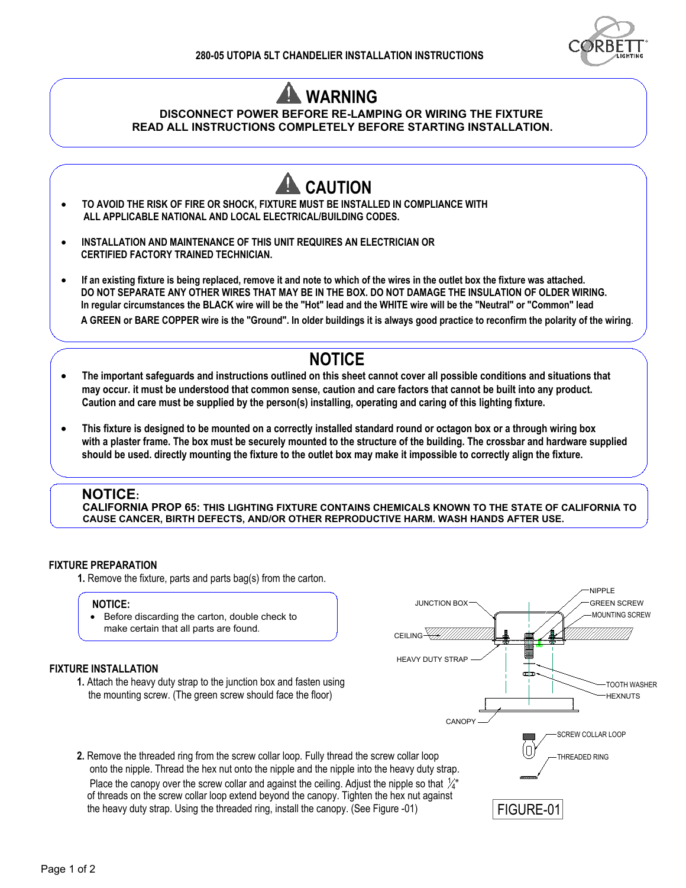



- -